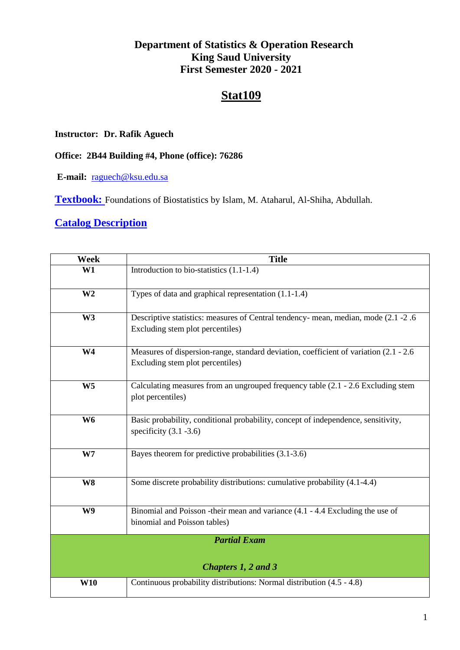#### **Department of Statistics & Operation Research King Saud University First Semester 2020 - 2021**

## **Stat109**

#### **Instructor: Dr. Rafik Aguech**

**Office: 2B44 Building #4, Phone (office): 76286**

**E-mail:** [raguech@ksu.edu.sa](mailto:raguech@ksu.edu.sa)

**Textbook:** Foundations of Biostatistics by Islam, M. Ataharul, Al-Shiha, Abdullah.

#### **Catalog Description**

| Week                | <b>Title</b>                                                                                                               |  |  |  |  |
|---------------------|----------------------------------------------------------------------------------------------------------------------------|--|--|--|--|
| W1                  | Introduction to bio-statistics (1.1-1.4)                                                                                   |  |  |  |  |
| W <sub>2</sub>      | Types of data and graphical representation (1.1-1.4)                                                                       |  |  |  |  |
| W <sub>3</sub>      | Descriptive statistics: measures of Central tendency- mean, median, mode (2.1 -2.6)<br>Excluding stem plot percentiles)    |  |  |  |  |
| W <sub>4</sub>      | Measures of dispersion-range, standard deviation, coefficient of variation (2.1 - 2.6)<br>Excluding stem plot percentiles) |  |  |  |  |
| W <sub>5</sub>      | Calculating measures from an ungrouped frequency table (2.1 - 2.6 Excluding stem<br>plot percentiles)                      |  |  |  |  |
| W <sub>6</sub>      | Basic probability, conditional probability, concept of independence, sensitivity,<br>specificity $(3.1 - 3.6)$             |  |  |  |  |
| W <sub>7</sub>      | Bayes theorem for predictive probabilities (3.1-3.6)                                                                       |  |  |  |  |
| W <sub>8</sub>      | Some discrete probability distributions: cumulative probability (4.1-4.4)                                                  |  |  |  |  |
| W9                  | Binomial and Poisson -their mean and variance (4.1 - 4.4 Excluding the use of<br>binomial and Poisson tables)              |  |  |  |  |
| <b>Partial Exam</b> |                                                                                                                            |  |  |  |  |
| Chapters 1, 2 and 3 |                                                                                                                            |  |  |  |  |
| <b>W10</b>          | Continuous probability distributions: Normal distribution (4.5 - 4.8)                                                      |  |  |  |  |